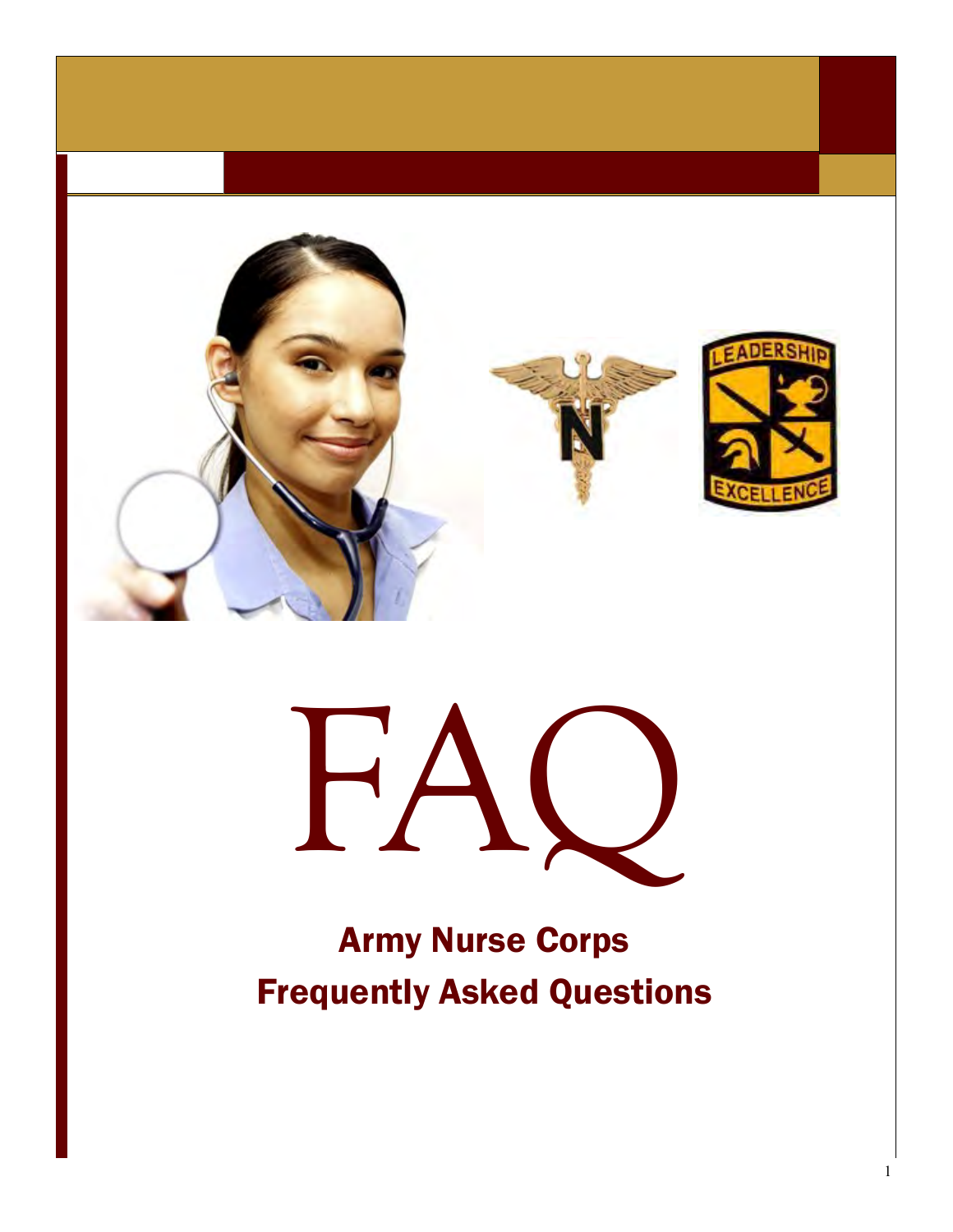



# Army Nurse Corps Frequently Asked Questions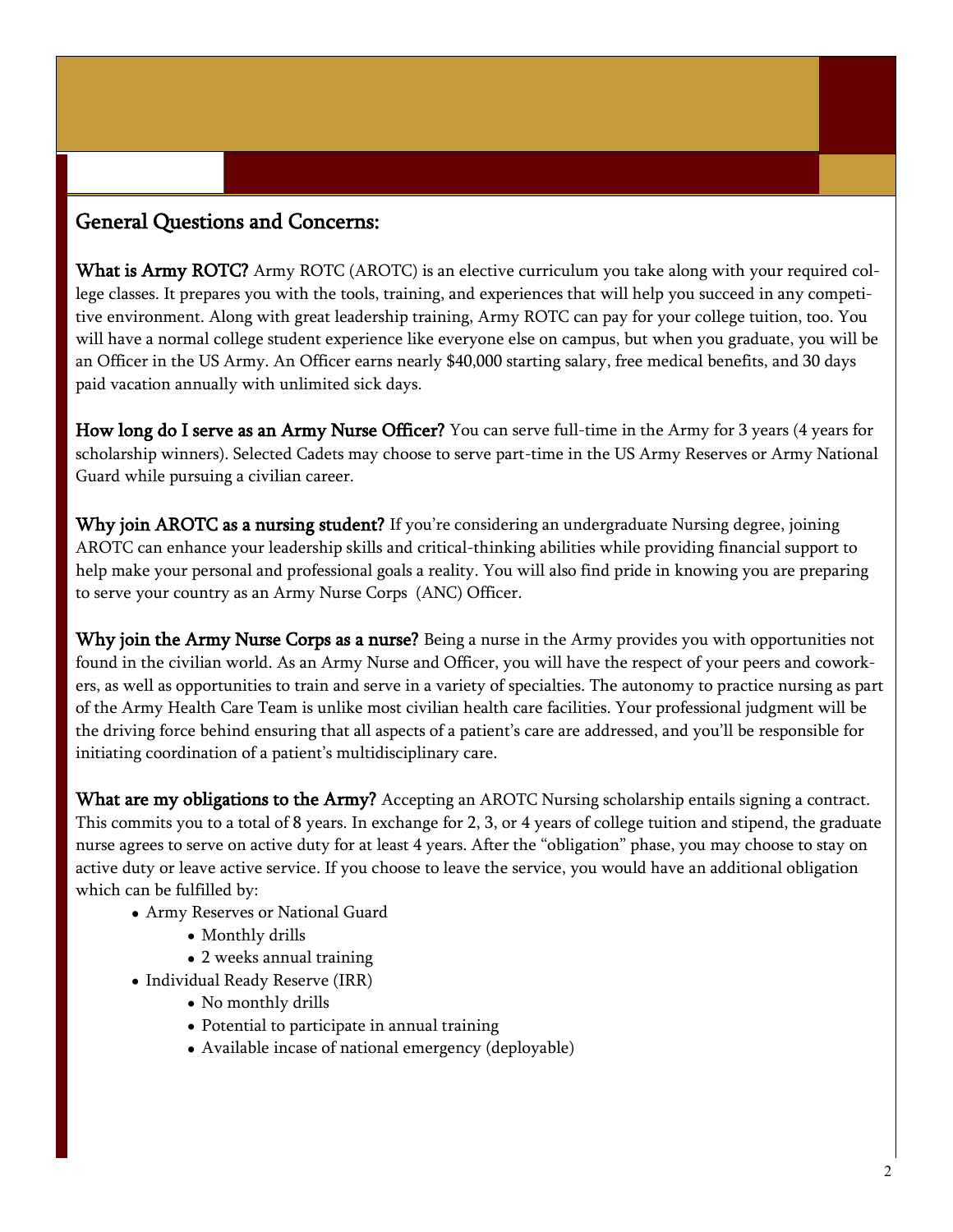#### General Questions and Concerns:

What is Army ROTC? Army ROTC (AROTC) is an elective curriculum you take along with your required college classes. It prepares you with the tools, training, and experiences that will help you succeed in any competitive environment. Along with great leadership training, Army ROTC can pay for your college tuition, too. You will have a normal college student experience like everyone else on campus, but when you graduate, you will be an Officer in the US Army. An Officer earns nearly \$40,000 starting salary, free medical benefits, and 30 days paid vacation annually with unlimited sick days.

How long do I serve as an Army Nurse Officer? You can serve full-time in the Army for 3 years (4 years for scholarship winners). Selected Cadets may choose to serve part-time in the US Army Reserves or Army National Guard while pursuing a civilian career.

Why join AROTC as a nursing student? If you're considering an undergraduate Nursing degree, joining AROTC can enhance your leadership skills and critical-thinking abilities while providing financial support to help make your personal and professional goals a reality. You will also find pride in knowing you are preparing to serve your country as an Army Nurse Corps (ANC) Officer.

Why join the Army Nurse Corps as a nurse? Being a nurse in the Army provides you with opportunities not found in the civilian world. As an Army Nurse and Officer, you will have the respect of your peers and coworkers, as well as opportunities to train and serve in a variety of specialties. The autonomy to practice nursing as part of the Army Health Care Team is unlike most civilian health care facilities. Your professional judgment will be the driving force behind ensuring that all aspects of a patient's care are addressed, and you'll be responsible for initiating coordination of a patient's multidisciplinary care.

What are my obligations to the Army? Accepting an AROTC Nursing scholarship entails signing a contract. This commits you to a total of 8 years. In exchange for 2, 3, or 4 years of college tuition and stipend, the graduate nurse agrees to serve on active duty for at least 4 years. After the "obligation" phase, you may choose to stay on active duty or leave active service. If you choose to leave the service, you would have an additional obligation which can be fulfilled by:

- Army Reserves or National Guard
	- Monthly drills
	- 2 weeks annual training
- Individual Ready Reserve (IRR)
	- No monthly drills
	- Potential to participate in annual training
	- Available incase of national emergency (deployable)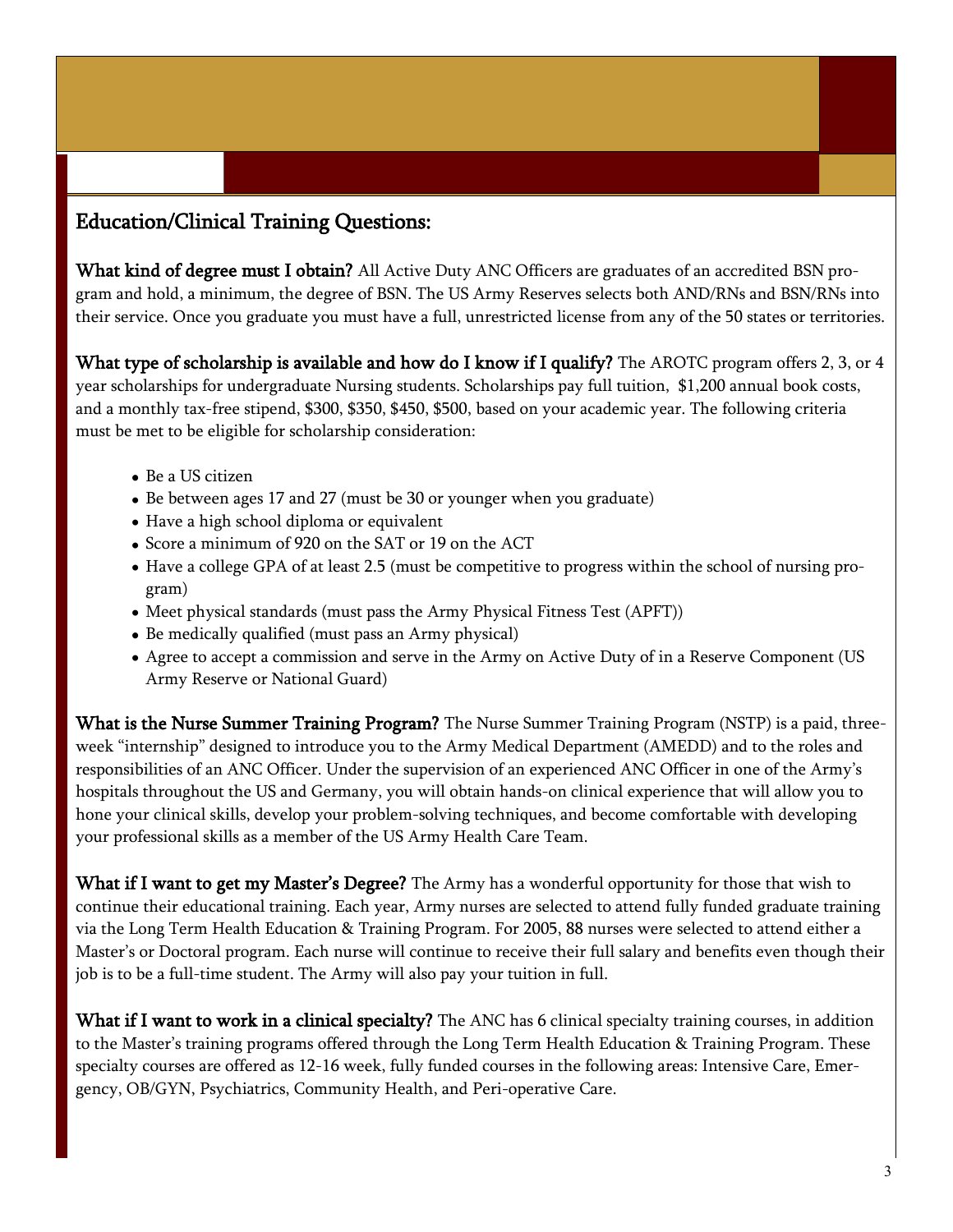## Education/Clinical Training Questions:

What kind of degree must I obtain? All Active Duty ANC Officers are graduates of an accredited BSN program and hold, a minimum, the degree of BSN. The US Army Reserves selects both AND/RNs and BSN/RNs into their service. Once you graduate you must have a full, unrestricted license from any of the 50 states or territories.

What type of scholarship is available and how do I know if I qualify? The AROTC program offers 2, 3, or 4 year scholarships for undergraduate Nursing students. Scholarships pay full tuition, \$1,200 annual book costs, and a monthly tax-free stipend, \$300, \$350, \$450, \$500, based on your academic year. The following criteria must be met to be eligible for scholarship consideration:

- Be a US citizen
- Be between ages 17 and 27 (must be 30 or younger when you graduate)
- Have a high school diploma or equivalent
- Score a minimum of 920 on the SAT or 19 on the ACT
- Have a college GPA of at least 2.5 (must be competitive to progress within the school of nursing program)
- Meet physical standards (must pass the Army Physical Fitness Test (APFT))
- Be medically qualified (must pass an Army physical)
- Agree to accept a commission and serve in the Army on Active Duty of in a Reserve Component (US Army Reserve or National Guard)

What is the Nurse Summer Training Program? The Nurse Summer Training Program (NSTP) is a paid, threeweek "internship" designed to introduce you to the Army Medical Department (AMEDD) and to the roles and responsibilities of an ANC Officer. Under the supervision of an experienced ANC Officer in one of the Army's hospitals throughout the US and Germany, you will obtain hands-on clinical experience that will allow you to hone your clinical skills, develop your problem-solving techniques, and become comfortable with developing your professional skills as a member of the US Army Health Care Team.

What if I want to get my Master's Degree? The Army has a wonderful opportunity for those that wish to continue their educational training. Each year, Army nurses are selected to attend fully funded graduate training via the Long Term Health Education & Training Program. For 2005, 88 nurses were selected to attend either a Master's or Doctoral program. Each nurse will continue to receive their full salary and benefits even though their job is to be a full-time student. The Army will also pay your tuition in full.

What if I want to work in a clinical specialty? The ANC has 6 clinical specialty training courses, in addition to the Master's training programs offered through the Long Term Health Education & Training Program. These specialty courses are offered as 12-16 week, fully funded courses in the following areas: Intensive Care, Emergency, OB/GYN, Psychiatrics, Community Health, and Peri-operative Care.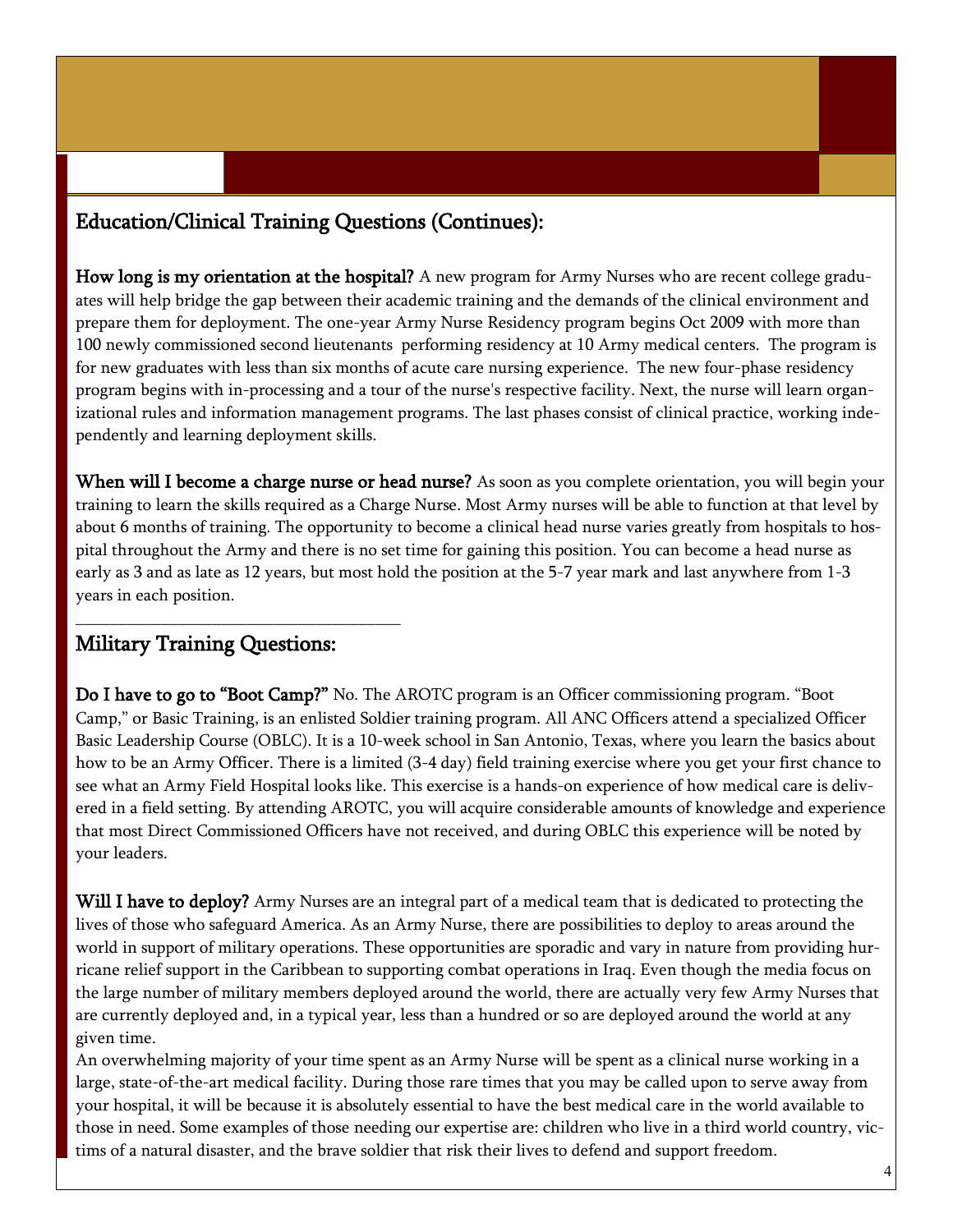## Education/Clinical Training Questions (Continues):

How long is my orientation at the hospital? A new program for Army Nurses who are recent college graduates will help bridge the gap between their academic training and the demands of the clinical environment and prepare them for deployment. The one-year Army Nurse Residency program begins Oct 2009 with more than 100 newly commissioned second lieutenants performing residency at 10 Army medical centers. The program is for new graduates with less than six months of acute care nursing experience. The new four-phase residency program begins with in-processing and a tour of the nurse's respective facility. Next, the nurse will learn organizational rules and information management programs. The last phases consist of clinical practice, working independently and learning deployment skills.

When will I become a charge nurse or head nurse? As soon as you complete orientation, you will begin your training to learn the skills required as a Charge Nurse. Most Army nurses will be able to function at that level by about 6 months of training. The opportunity to become a clinical head nurse varies greatly from hospitals to hospital throughout the Army and there is no set time for gaining this position. You can become a head nurse as early as 3 and as late as 12 years, but most hold the position at the 5-7 year mark and last anywhere from 1-3 years in each position.

#### Military Training Questions:

\_\_\_\_\_\_\_\_\_\_\_\_\_\_\_\_\_\_\_\_\_\_\_\_\_\_\_\_\_\_\_\_\_\_\_\_\_\_

Do I have to go to "Boot Camp?" No. The AROTC program is an Officer commissioning program. "Boot Camp," or Basic Training, is an enlisted Soldier training program. All ANC Officers attend a specialized Officer Basic Leadership Course (OBLC). It is a 10-week school in San Antonio, Texas, where you learn the basics about how to be an Army Officer. There is a limited (3-4 day) field training exercise where you get your first chance to see what an Army Field Hospital looks like. This exercise is a hands-on experience of how medical care is delivered in a field setting. By attending AROTC, you will acquire considerable amounts of knowledge and experience that most Direct Commissioned Officers have not received, and during OBLC this experience will be noted by your leaders.

Will I have to deploy? Army Nurses are an integral part of a medical team that is dedicated to protecting the lives of those who safeguard America. As an Army Nurse, there are possibilities to deploy to areas around the world in support of military operations. These opportunities are sporadic and vary in nature from providing hurricane relief support in the Caribbean to supporting combat operations in Iraq. Even though the media focus on the large number of military members deployed around the world, there are actually very few Army Nurses that are currently deployed and, in a typical year, less than a hundred or so are deployed around the world at any given time.

An overwhelming majority of your time spent as an Army Nurse will be spent as a clinical nurse working in a large, state-of-the-art medical facility. During those rare times that you may be called upon to serve away from your hospital, it will be because it is absolutely essential to have the best medical care in the world available to those in need. Some examples of those needing our expertise are: children who live in a third world country, victims of a natural disaster, and the brave soldier that risk their lives to defend and support freedom.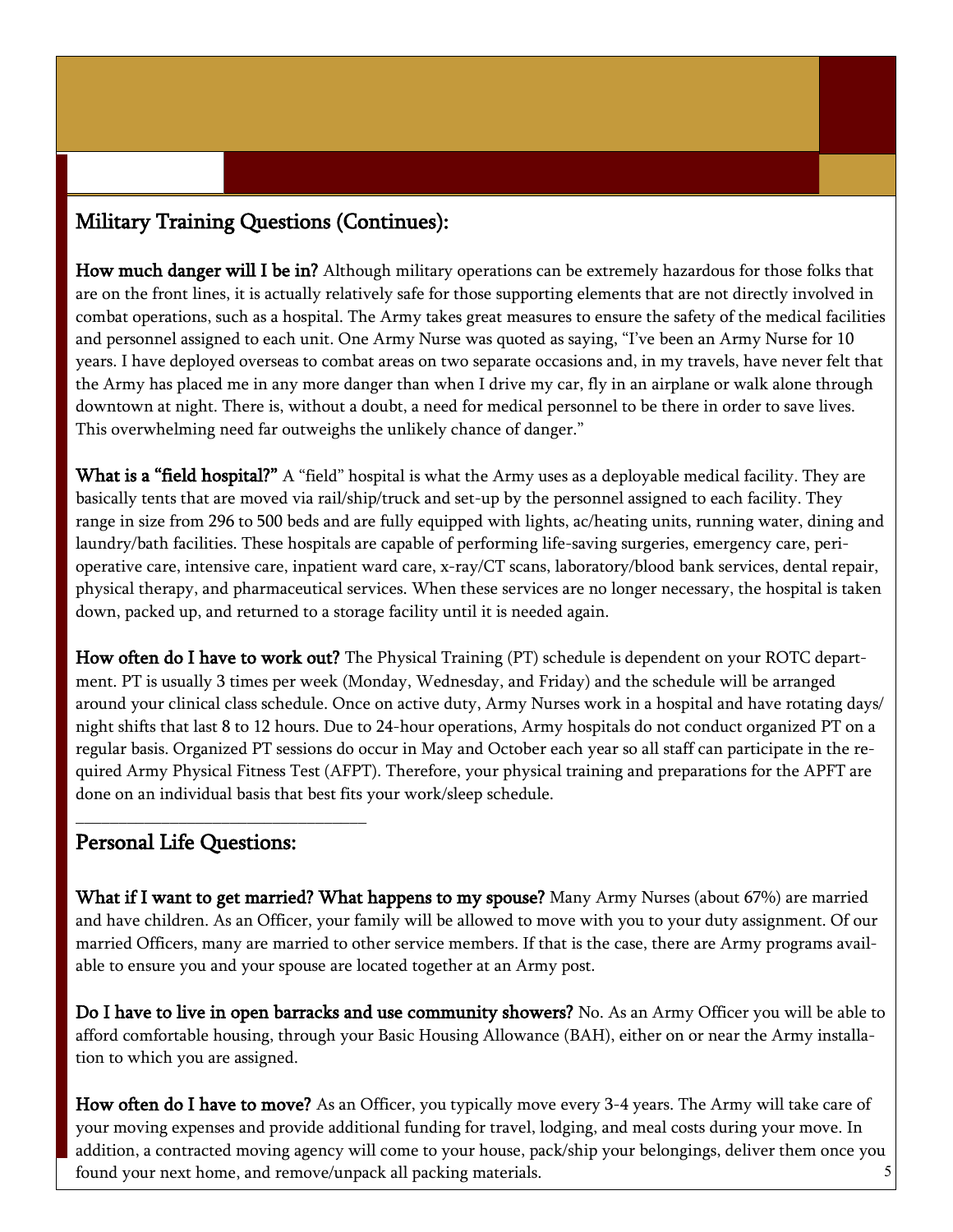# Military Training Questions (Continues):

How much danger will I be in? Although military operations can be extremely hazardous for those folks that are on the front lines, it is actually relatively safe for those supporting elements that are not directly involved in combat operations, such as a hospital. The Army takes great measures to ensure the safety of the medical facilities and personnel assigned to each unit. One Army Nurse was quoted as saying, "I've been an Army Nurse for 10 years. I have deployed overseas to combat areas on two separate occasions and, in my travels, have never felt that the Army has placed me in any more danger than when I drive my car, fly in an airplane or walk alone through downtown at night. There is, without a doubt, a need for medical personnel to be there in order to save lives. This overwhelming need far outweighs the unlikely chance of danger."

What is a "field hospital?" A "field" hospital is what the Army uses as a deployable medical facility. They are basically tents that are moved via rail/ship/truck and set-up by the personnel assigned to each facility. They range in size from 296 to 500 beds and are fully equipped with lights, ac/heating units, running water, dining and laundry/bath facilities. These hospitals are capable of performing life-saving surgeries, emergency care, perioperative care, intensive care, inpatient ward care, x-ray/CT scans, laboratory/blood bank services, dental repair, physical therapy, and pharmaceutical services. When these services are no longer necessary, the hospital is taken down, packed up, and returned to a storage facility until it is needed again.

How often do I have to work out? The Physical Training (PT) schedule is dependent on your ROTC department. PT is usually 3 times per week (Monday, Wednesday, and Friday) and the schedule will be arranged around your clinical class schedule. Once on active duty, Army Nurses work in a hospital and have rotating days/ night shifts that last 8 to 12 hours. Due to 24-hour operations, Army hospitals do not conduct organized PT on a regular basis. Organized PT sessions do occur in May and October each year so all staff can participate in the required Army Physical Fitness Test (AFPT). Therefore, your physical training and preparations for the APFT are done on an individual basis that best fits your work/sleep schedule.

# Personal Life Questions:

\_\_\_\_\_\_\_\_\_\_\_\_\_\_\_\_\_\_\_\_\_\_\_\_\_\_\_\_\_\_\_\_\_\_

What if I want to get married? What happens to my spouse? Many Army Nurses (about 67%) are married and have children. As an Officer, your family will be allowed to move with you to your duty assignment. Of our married Officers, many are married to other service members. If that is the case, there are Army programs available to ensure you and your spouse are located together at an Army post.

Do I have to live in open barracks and use community showers? No. As an Army Officer you will be able to afford comfortable housing, through your Basic Housing Allowance (BAH), either on or near the Army installation to which you are assigned.

5 How often do I have to move? As an Officer, you typically move every 3-4 years. The Army will take care of your moving expenses and provide additional funding for travel, lodging, and meal costs during your move. In addition, a contracted moving agency will come to your house, pack/ship your belongings, deliver them once you found your next home, and remove/unpack all packing materials.